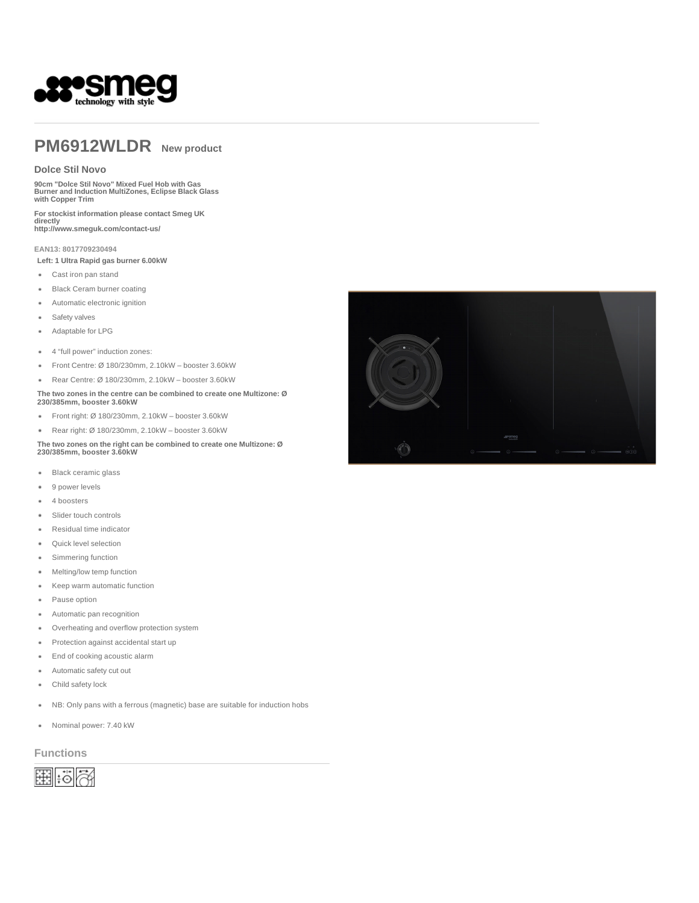

# **PM6912WLDR New product**

#### **Dolce Stil Novo**

**90cm "Dolce Stil Novo" Mixed Fuel Hob with Gas Burner and Induction MultiZones, Eclipse Black Glass with Copper Trim**

**For stockist information please contact Smeg UK directly http://www.smeguk.com/contact-us/** 

**EAN13: 8017709230494**

**Left: 1 Ultra Rapid gas burner 6.00kW**

- Cast iron pan stand
- Black Ceram burner coating
- Automatic electronic ignition ٠
- Safety valves
- Adaptable for LPG  $\bullet$
- 4 "full power" induction zones:  $\bullet$
- Front Centre: Ø 180/230mm, 2.10kW booster 3.60kW
- Rear Centre: Ø 180/230mm, 2.10kW booster 3.60kW  $\bullet$

#### **The two zones in the centre can be combined to create one Multizone: Ø 230/385mm, booster 3.60kW**

- Front right: Ø 180/230mm, 2.10kW booster 3.60kW  $\bullet$
- $\bullet$ Rear right: Ø 180/230mm, 2.10kW – booster 3.60kW
- **The two zones on the right can be combined to create one Multizone: Ø 230/385mm, booster 3.60kW**
- . Black ceramic glass
- 9 power levels ٠
- 4 boosters  $\bullet$
- Slider touch controls  $\bullet$
- $\ddot{\phantom{a}}$ Residual time indicator
- Quick level selection  $\bullet$
- Simmering function  $\ddot{\phantom{a}}$
- Melting/low temp function
- Keep warm automatic function  $\bullet$
- Pause option  $\bullet$
- Automatic pan recognition  $\bullet$
- Overheating and overflow protection system  $\ddot{\phantom{a}}$
- Protection against accidental start up  $\bullet$
- End of cooking acoustic alarm
- Automatic safety cut out  $\ddot{\phantom{a}}$
- Child safety lock  $\bullet$
- NB: Only pans with a ferrous (magnetic) base are suitable for induction hobs  $\bullet$
- $\bullet$ Nominal power: 7.40 kW

**Functions**



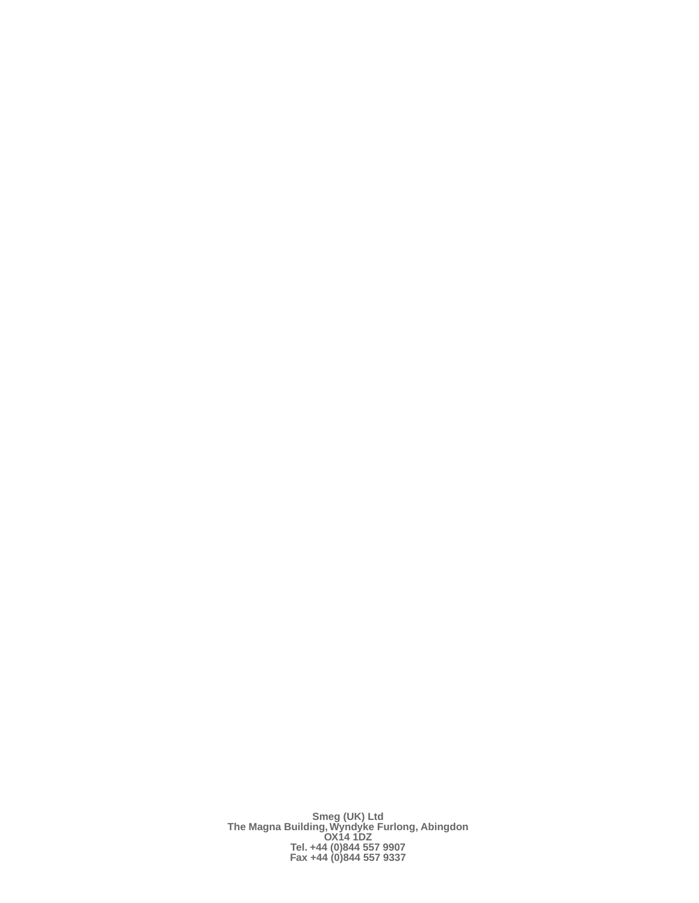**Smeg (UK) Ltd The Magna Building, Wyndyke Furlong, Abingdon OX14 1DZ Tel. +44 (0)844 557 9907 Fax +44 (0)844 557 9337**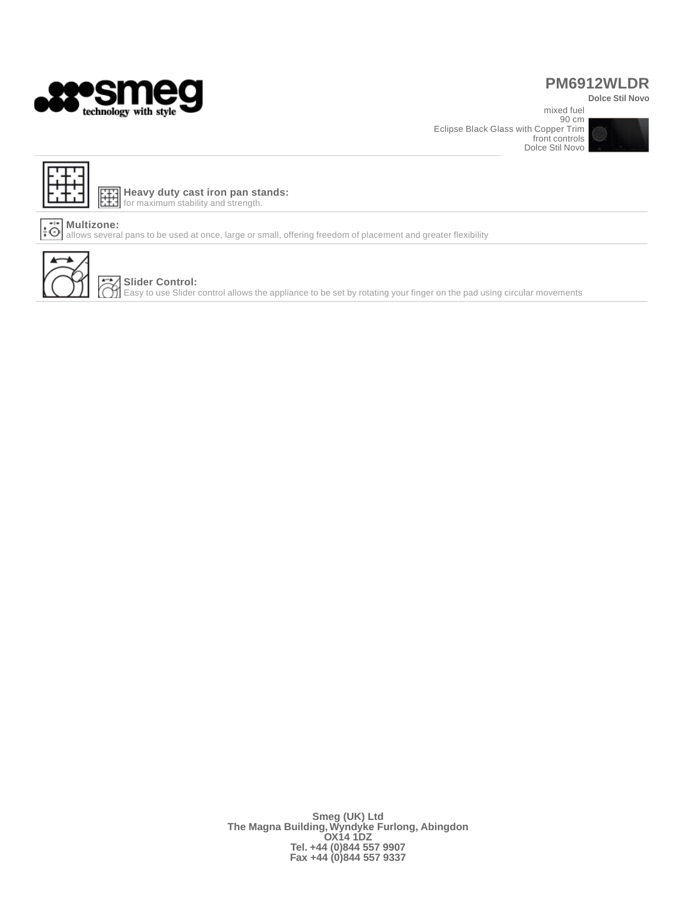

## **PM6912WLDR**

**Dolce Stil Novo**  mixed fuel

90 cm Eclipse Black Glass with Copper Trim front controls Dolce Stil Novo





鐷 **Heavy duty cast iron pan stands:** for maximum stability and strength.

### **Multizone:**

allows several pans to be used at once, large or small, offering freedom of placement and greater flexibility



#### **Slider Control:**  $\frak{R}$

Easy to use Slider control allows the appliance to be set by rotating your finger on the pad using circular movements

**Smeg (UK) Ltd The Magna Building, Wyndyke Furlong, Abingdon OX14 1DZ Tel. +44 (0)844 557 9907 Fax +44 (0)844 557 9337**